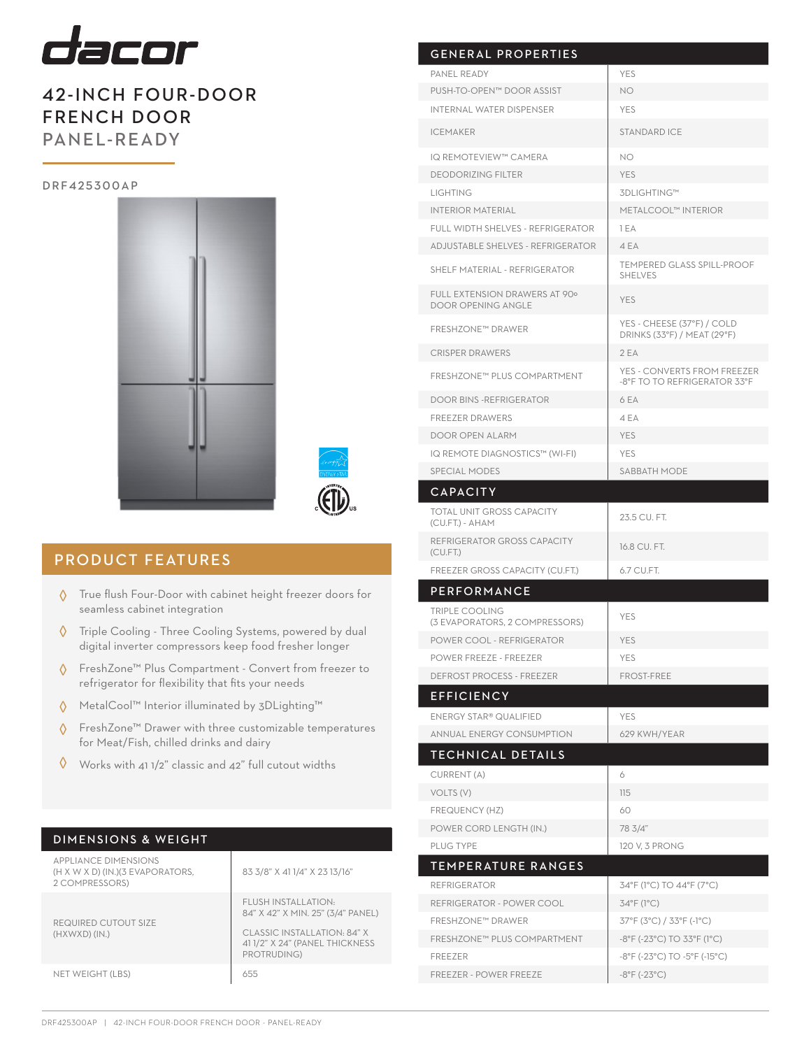

## 42-INCH FOUR-DOOR FRENCH DOOR PANEL-READY

#### D R F 4 2 5 3 0 0 A P





### PRODUCT FEATURES

- $\Diamond$  True flush Four-Door with cabinet height freezer doors for seamless cabinet integration
- Triple Cooling Three Cooling Systems, powered by dual digital inverter compressors keep food fresher longer ◊
- FreshZone™ Plus Compartment Convert from freezer to refrigerator for flexibility that fits your needs ◊
- MetalCool™ Interior illuminated by 3DLighting™ ◊
- FreshZone™ Drawer with three customizable temperatures for Meat/Fish, chilled drinks and dairy ◊
- Works with 41 1/2" classic and 42" full cutout widths ◊

| DIMENSIONS & WEIGHT |
|---------------------|
|---------------------|

| <b>APPLIANCE DIMENSIONS</b><br>(H X W X D) (IN.) (3 EVAPORATORS,<br>2 COMPRESSORS) | 83 3/8" X 41 1/4" X 23 13/16"                                                                                                            |
|------------------------------------------------------------------------------------|------------------------------------------------------------------------------------------------------------------------------------------|
| REQUIRED CUTOUT SIZE<br>(HXWXD)(IN.)                                               | FLUSH INSTALLATION:<br>84" X 42" X MIN. 25" (3/4" PANEL)<br>CLASSIC INSTALLATION: 84" X<br>41 1/2" X 24" (PANEL THICKNESS<br>PROTRUDING) |
| NET WEIGHT (LBS)                                                                   | 655                                                                                                                                      |

| <b>GENERAL PROPERTIES</b>                                  |                                                             |  |  |
|------------------------------------------------------------|-------------------------------------------------------------|--|--|
| PANEL READY                                                | <b>YES</b>                                                  |  |  |
| PUSH-TO-OPEN™ DOOR ASSIST                                  | NO.                                                         |  |  |
| <b>INTERNAL WATER DISPENSER</b>                            | <b>YES</b>                                                  |  |  |
| <b>ICEMAKER</b>                                            | <b>STANDARD ICE</b>                                         |  |  |
| IQ REMOTEVIEW™ CAMERA                                      | <b>NO</b>                                                   |  |  |
| <b>DEODORIZING FILTER</b>                                  | <b>YES</b>                                                  |  |  |
| <b>LIGHTING</b>                                            | 3DLIGHTING™                                                 |  |  |
| <b>INTERIOR MATERIAL</b>                                   | METALCOOL™ INTERIOR                                         |  |  |
| FULL WIDTH SHELVES - REFRIGERATOR                          | 1 EA                                                        |  |  |
| <b>ADJUSTABLE SHELVES - REFRIGERATOR</b>                   | 4 EA                                                        |  |  |
| SHELF MATERIAL - REFRIGERATOR                              | <b>TEMPERED GLASS SPILL-PROOF</b><br><b>SHELVES</b>         |  |  |
| FULL EXTENSION DRAWERS AT 90°<br><b>DOOR OPENING ANGLE</b> | <b>YES</b>                                                  |  |  |
| <b>FRESHZONE™ DRAWER</b>                                   | YES - CHEESE (37°F) / COLD<br>DRINKS (33°F) / MEAT (29°F)   |  |  |
| <b>CRISPER DRAWERS</b>                                     | 2 EA                                                        |  |  |
| FRESHZONE™ PLUS COMPARTMENT                                | YES - CONVERTS FROM FREEZER<br>-8°F TO TO REFRIGERATOR 33°F |  |  |
| <b>DOOR BINS - REFRIGERATOR</b>                            | 6 EA                                                        |  |  |
| <b>FREEZER DRAWERS</b>                                     | 4 EA                                                        |  |  |
| DOOR OPEN ALARM                                            | <b>YES</b>                                                  |  |  |
| IQ REMOTE DIAGNOSTICS™ (WI-FI)                             | <b>YES</b>                                                  |  |  |
| <b>SPECIAL MODES</b>                                       | SABBATH MODE                                                |  |  |
| <b>CAPACITY</b>                                            |                                                             |  |  |
| <b>TOTAL UNIT GROSS CAPACITY</b><br>(CU.FT.) - AHAM        | 23.5 CU, FT.                                                |  |  |
| REFRIGERATOR GROSS CAPACITY<br>(CU.FT.)                    | 16.8 CU. FT.                                                |  |  |
| FREEZER GROSS CAPACITY (CU.FT.)                            | 6.7 CU.FT.                                                  |  |  |
| PERFORMANCE                                                |                                                             |  |  |
| <b>TRIPLE COOLING</b><br>(3 EVAPORATORS, 2 COMPRESSORS)    | <b>YES</b>                                                  |  |  |
| POWER COOL - REFRIGERATOR                                  | <b>YES</b>                                                  |  |  |
| <b>POWER FREEZE - FREEZER</b>                              | <b>YES</b>                                                  |  |  |
| <b>DEFROST PROCESS - FREEZER</b>                           | <b>FROST-FREE</b>                                           |  |  |
| <b>EFFICIENCY</b>                                          |                                                             |  |  |
| <b>ENERGY STAR® QUALIFIED</b>                              | <b>YES</b>                                                  |  |  |
| <b>ANNUAL ENERGY CONSUMPTION</b>                           | 629 KWH/YEAR                                                |  |  |
| <b>TECHNICAL DETAILS</b>                                   |                                                             |  |  |
| CURRENT (A)                                                | 6                                                           |  |  |
| VOLTS (V)                                                  | 115                                                         |  |  |
| FREQUENCY (HZ)                                             | 60                                                          |  |  |
| POWER CORD LENGTH (IN.)                                    | 78 3/4"                                                     |  |  |
| PLUG TYPE                                                  | 120 V, 3 PRONG                                              |  |  |
| <b>TEMPERATURE RANGES</b>                                  |                                                             |  |  |
| <b>REFRIGERATOR</b>                                        | 34°F (1°C) TO 44°F (7°C)                                    |  |  |
| REFRIGERATOR - POWER COOL                                  | 34°F (1°C)                                                  |  |  |
| <b>FRESHZONE™ DRAWER</b>                                   | 37°F (3°C) / 33°F (-1°C)                                    |  |  |
| FRESHZONE™ PLUS COMPARTMENT                                | -8°F (-23°C) TO 33°F (1°C)                                  |  |  |
| <b>FREEZER</b>                                             | -8°F (-23°C) TO -5°F (-15°C)                                |  |  |
| <b>FREEZER - POWER FREEZE</b>                              | $-8^{\circ}$ F ( $-23^{\circ}$ C)                           |  |  |
|                                                            |                                                             |  |  |